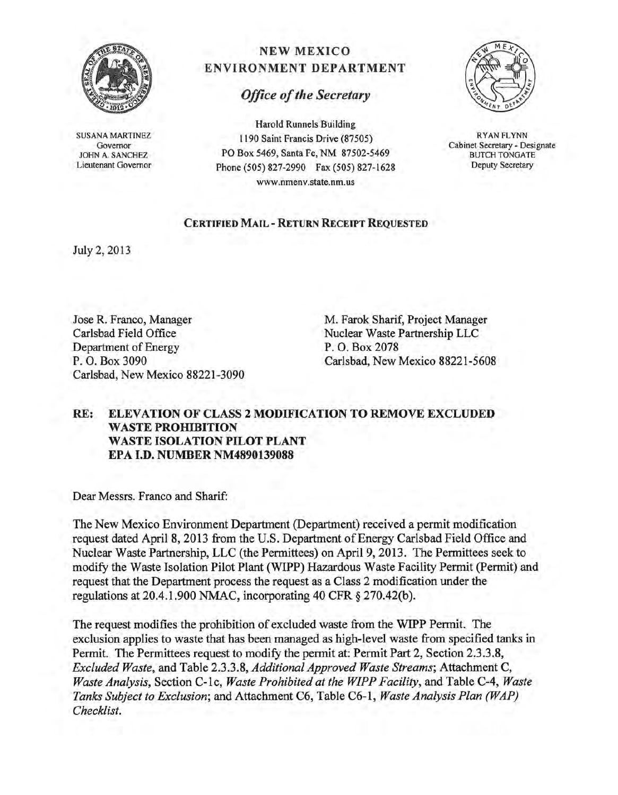

SUSANA MARTINEZ Governor JOHN A. SANCHEZ Lieutenant Governor

## NEW MEXICO ENVIRONMENT DEPARTMENT

## *Office of the Secretary*

Harold Runnels Building 1190 Saint Francis Drive (87505) PO Box 5469, Santa Fe, NM 87502-5469 Phone (505) 827-2990 Fax (505) 827-1628 www.nmenv.state.nm.us



RYAN FLYNN Cabinet Secretary - Designate BUTCH TONGATE Deputy Secretary

## CERTIFIED MAIL - RETURN RECEIPT REQUESTED

July 2, 2013

Jose R. Franco, Manager Carlsbad Field Office Department of Energy<br>P.O. Box 3090 Carlsbad, New Mexico 88221-3090

M. Farok Sharif, Project Manager Nuclear Waste Partnership LLC P. O. Box 2078 Carlsbad, New Mexico 88221-5608

## RE: ELEVATION OF CLASS 2 MODIFICATION TO REMOVE EXCLUDED WASTE PROHIBITION WASTE ISOLATION PILOT PLANT EPA I.D. NUMBER NM4890139088

Dear Messrs. Franco and Sharif:

The New Mexico Environment Department (Department) received a permit modification request dated April 8,2013 from the U.S. Department of Energy Carlsbad Field Office and Nuclear Waste Partnership, LLC (the Permittees) on April 9,2013. The Permittees seek to modify the Waste Isolation Pilot Plant (WIPP) Hazardous Waste Facility Permit (Permit) and request that the Department process the request as a Class 2 modification under the regulations at 20.4.1.900 NMAC, incorporating 40 CFR § 270.42(b).

The request modifies the prohibition of excluded waste from the WIPP Permit. The exclusion applies to waste that has been managed as high-level waste from specified tanks in Permit. The Permittees request to modify the permit at: Permit Part 2, Section 2.3.3.8, *Excluded Waste,* and Table 2.3.3.8, *Additional Approved Waste Streams;* Attachment C, *Waste Analysis,* Section C-lc, *Waste Prohibited at the WIPP Facility,* and Table C-4, *Waste Tanks Subject to Exclusion;* and Attachment C6, Table C6-1, *Waste Analysis Plan (WAP) Checklist.*